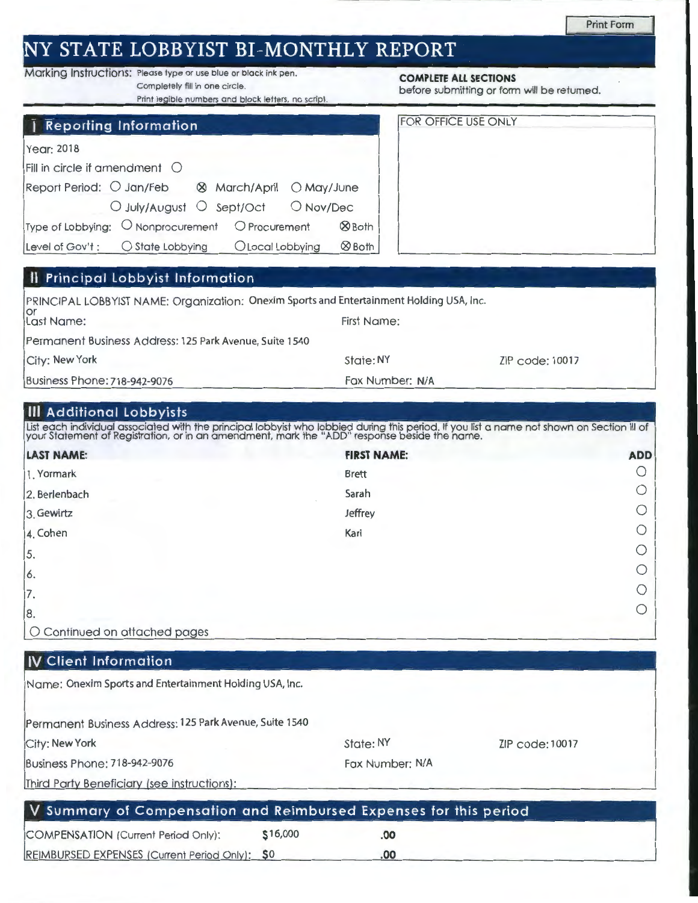## **NY STATE LOBBYIST BI-MONTHLY REPORT**

# Marking Instructions: Please type or use blue or black ink pen. **COMPLETE ALL SECTIONS**<br>Completely fill in one circle. **COMPLETE ALL SECTIONS**

Completely fill in one circle.<br>Print legible numbers and block letters, no script. before submitting or form will be returned.

| Year: 2018                             |                                                                    |  |              |
|----------------------------------------|--------------------------------------------------------------------|--|--------------|
| Fill in circle if amendment $\bigcirc$ |                                                                    |  |              |
|                                        | Report Period: O Jan/Feb & March/April O May/June                  |  |              |
|                                        | O July/August O Sept/Oct O Nov/Dec                                 |  |              |
|                                        | Type of Lobbying: $\bigcirc$ Nonprocurement $\bigcirc$ Procurement |  | <b>ØBoth</b> |

Level of Gov't:  $\bigcirc$  State Lobbying  $\bigcirc$  Local Lobbying  $\bigcirc$  Both

| <b>FOR OFFICE USE ONLY</b> |  |
|----------------------------|--|
|                            |  |
|                            |  |
|                            |  |
|                            |  |
|                            |  |

## **II Principal lobbyist Information**

| PRINCIPAL LOBBYIST NAME: Organization: Onexim Sports and Entertainment Holding USA, Inc. |                 |                 |
|------------------------------------------------------------------------------------------|-----------------|-----------------|
| lor<br>Last Name:                                                                        | First Name:     |                 |
| Permanent Business Address: 125 Park Avenue, Suite 1540                                  |                 |                 |
| City: New York                                                                           | State: NY       | ZIP code: 10017 |
| Business Phone: 718-942-9076                                                             | Fax Number: N/A |                 |

#### **Ill Additional lobbyists**

List each individual associated with the principal lobbyist who lobbied during this period. If you list a name not shown on Section III of<br>your Statement of Registration, or in an amendment, mark the "ADD" response beside

| <b>LAST NAME:</b>             | <b>FIRST NAME:</b> | <b>ADD</b>                                      |
|-------------------------------|--------------------|-------------------------------------------------|
| 1. Yormark                    | <b>Brett</b>       | $\left( \right)$                                |
| 2. Berlenbach                 | Sarah              |                                                 |
| 3. Gewirtz                    | Jeffrey            | $\left( \begin{array}{c} 1 \end{array} \right)$ |
| 4. Cohen                      | Kari               | ◯                                               |
| 5.                            |                    | ◯                                               |
| 6.                            |                    | ◯                                               |
| 17.                           |                    | $\left( \right)$                                |
| 8.                            |                    | $\bigcirc$                                      |
| O Continued on attached pages |                    |                                                 |

## **IV Client Information**

Name: Onexim Sports and Entertainment Holding USA, Inc.

Permanent Business Address: 125 Park Avenue, Suite 1540

City: New York

State: NY

ZIP code: 10017

Business Phone: 718-942-9076

Fax Number: N/A

Third Party Beneficiary (see instructions):

|                                                | V Summary of Compensation and Reimbursed Expenses for this period |     |  |  |  |
|------------------------------------------------|-------------------------------------------------------------------|-----|--|--|--|
| COMPENSATION (Current Period Only):            | \$16,000                                                          | .OO |  |  |  |
| REIMBURSED EXPENSES (Current Period Only): \$0 |                                                                   | .OO |  |  |  |